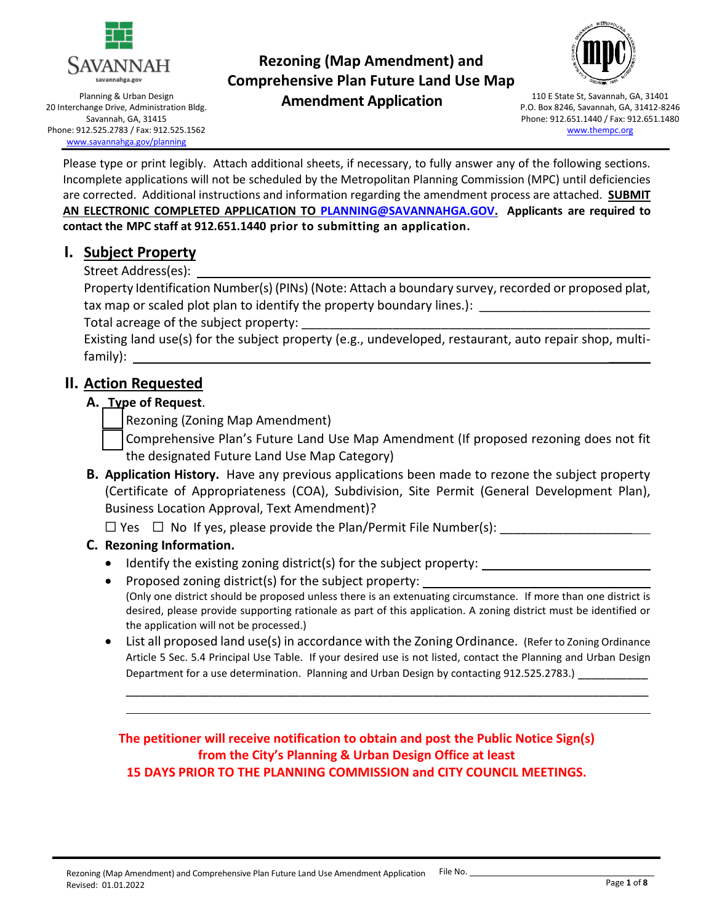

Planning & Urban Design 20 Interchange Drive, Administration Bldg. Savannah, GA, 31415 Phone: 912.525.2783 / Fax: 912.525.1562 [www.savannahga.gov/planning](http://www.savannahga.gov/planning)

## **Rezoning (Map Amendment) and Comprehensive Plan Future Land Use Map Amendment Application** 110 E State St, Savannah, GA, 31401



P.O. Box 8246, Savannah, GA, 31412-8246 Phone: 912.651.1440 / Fax: 912.651.1480 [www.thempc.org](http://www.thempc.org/)

Please type or print legibly. Attach additional sheets, if necessary, to fully answer any of the following sections. Incomplete applications will not be scheduled by the Metropolitan Planning Commission (MPC) until deficiencies are corrected. Additional instructions and information regarding the amendment process are attached. **SUBMIT AN ELECTRONIC COMPLETED APPLICATION TO [PLANNING@SAVANNAHGA.GOV.](mailto:PLANNING@SAVANNAHGA.GOV) Applicants are required to contact the MPC staff at 912.651.1440 prior to submitting an application.** 

## **I. Subject Property**

Street Address(es):

Property Identification Number(s) (PINs) (Note: Attach a boundary survey, recorded or proposed plat, tax map or scaled plot plan to identify the property boundary lines.):

Total acreage of the subject property:

Existing land use(s) for the subject property (e.g., undeveloped, restaurant, auto repair shop, multifamily): \_\_\_\_\_\_

## **II. Action Requested**

## **A. Type of Request**.

☐ Rezoning (Zoning Map Amendment)

- Comprehensive Plan's Future Land Use Map Amendment (If proposed rezoning does not fit the designated Future Land Use Map Category)
- **B. Application History.** Have any previous applications been made to rezone the subject property (Certificate of Appropriateness (COA), Subdivision, Site Permit (General Development Plan), Business Location Approval, Text Amendment)?

 $\Box$  Yes  $\Box$  No If yes, please provide the Plan/Permit File Number(s):

## **C. Rezoning Information.**

- Identify the existing zoning district(s) for the subject property:
- Proposed zoning district(s) for the subject property: (Only one district should be proposed unless there is an extenuating circumstance. If more than one district is desired, please provide supporting rationale as part of this application. A zoning district must be identified or the application will not be processed.)
- List all proposed land use(s) in accordance with the Zoning Ordinance. (Refer to Zoning Ordinance Article 5 Sec. 5.4 Principal Use Table. If your desired use is not listed, contact the Planning and Urban Design Department for a use determination. Planning and Urban Design by contacting 912.525.2783.)

\_\_\_\_\_\_\_\_\_\_\_\_\_\_\_\_\_\_\_\_\_\_\_\_\_\_\_\_\_\_\_\_\_\_\_\_\_\_\_\_\_\_\_\_\_\_\_\_\_\_\_\_\_\_\_\_\_\_\_\_\_\_\_\_\_\_\_\_\_\_\_\_\_\_\_

**The petitioner will receive notification to obtain and post the Public Notice Sign(s) from the City's Planning & Urban Design Office at least 15 DAYS PRIOR TO THE PLANNING COMMISSION and CITY COUNCIL MEETINGS.**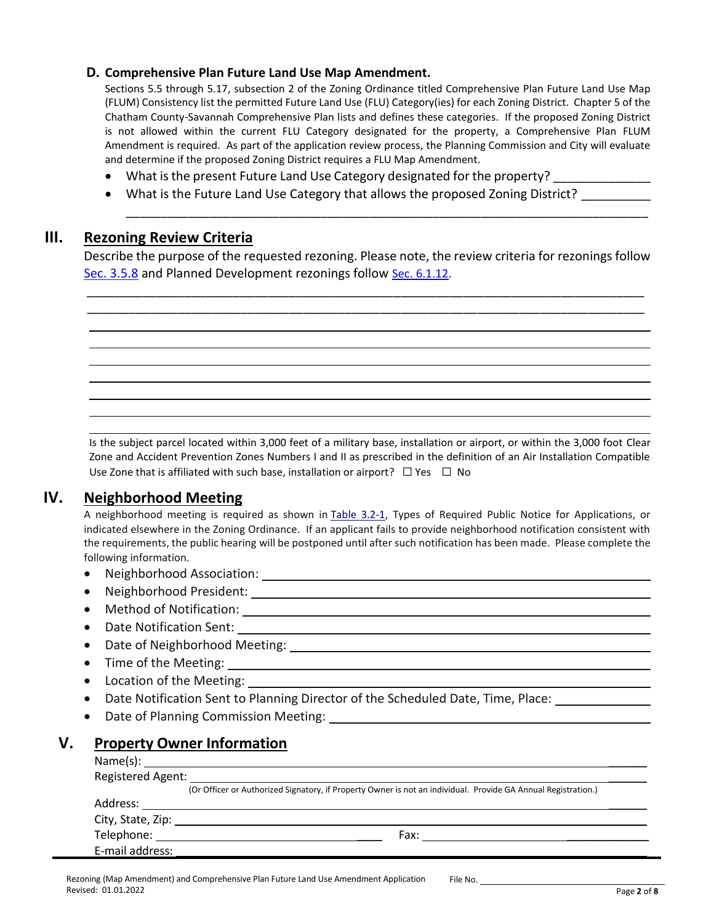### **D. Comprehensive Plan Future Land Use Map Amendment.**

Sections 5.5 through 5.17, subsection 2 of the Zoning Ordinance titled Comprehensive Plan Future Land Use Map (FLUM) Consistency list the permitted Future Land Use (FLU) Category(ies) for each Zoning District. Chapter 5 of the Chatham County-Savannah Comprehensive Plan lists and defines these categories. If the proposed Zoning District is not allowed within the current FLU Category designated for the property, a Comprehensive Plan FLUM Amendment is required. As part of the application review process, the Planning Commission and City will evaluate and determine if the proposed Zoning District requires a FLU Map Amendment.

\_\_\_\_\_\_\_\_\_\_\_\_\_\_\_\_\_\_\_\_\_\_\_\_\_\_\_\_\_\_\_\_\_\_\_\_\_\_\_\_\_\_\_\_\_\_\_\_\_\_\_\_\_\_\_\_\_\_\_\_\_\_\_\_\_\_\_\_\_\_\_\_\_\_\_

- What is the present Future Land Use Category designated for the property? \_\_\_\_\_\_\_\_\_\_\_\_\_\_\_\_\_\_\_\_\_\_\_\_\_\_\_\_\_\_\_\_\_\_
- What is the Future Land Use Category that allows the proposed Zoning District?

### **III. Rezoning Review Criteria**

Describe the purpose of the requested rezoning. Please note, the review criteria for rezonings follow [Sec. 3.5.8](http://online.encodeplus.com/regs/savannah-ga/doc-viewer.aspx#secid-5121) and Planned Development rezonings follow [Sec. 6.1.12.](http://online.encodeplus.com/regs/savannah-ga/doc-viewer.aspx#secid-5453)

\_\_\_\_\_\_\_\_\_\_\_\_\_\_\_\_\_\_\_\_\_\_\_\_\_\_\_\_\_\_\_\_\_\_\_\_\_\_\_\_\_\_\_\_\_\_\_\_\_\_\_\_\_\_\_\_\_\_\_\_\_\_\_\_\_\_\_\_\_\_\_\_\_\_\_\_\_\_\_\_ \_\_\_\_\_\_\_\_\_\_\_\_\_\_\_\_\_\_\_\_\_\_\_\_\_\_\_\_\_\_\_\_\_\_\_\_\_\_\_\_\_\_\_\_\_\_\_\_\_\_\_\_\_\_\_\_\_\_\_\_\_\_\_\_\_\_\_\_\_\_\_\_\_\_\_\_\_\_\_\_

Is the subject parcel located within 3,000 feet of a military base, installation or airport, or within the 3,000 foot Clear Zone and Accident Prevention Zones Numbers I and II as prescribed in the definition of an Air Installation Compatible Use Zone that is affiliated with such base, installation or airport?  $\Box$  Yes  $\Box$  No

## **IV. Neighborhood Meeting**

A neighborhood meeting is required as shown in [Table 3.2-1,](http://online.encodeplus.com/regs/savannah-ga/doc-viewer.aspx#secid-5110) Types of Required Public Notice for Applications, or indicated elsewhere in the Zoning Ordinance. If an applicant fails to provide neighborhood notification consistent with the requirements, the public hearing will be postponed until after such notification has been made. Please complete the following information.

- Neighborhood Association:
- Neighborhood President:
- Method of Notification: \_\_
- Date Notification Sent:
- Date of Neighborhood Meeting:  $\bullet$
- Time of the Meeting:
- Location of the Meeting:
- Date Notification Sent to Planning Director of the Scheduled Date, Time, Place:  $\frac{1}{1-\frac{1}{2}}$
- Date of Planning Commission Meeting:

## **V. Property Owner Information**

| Registered Agent: |                                                                                                               |  |  |  |
|-------------------|---------------------------------------------------------------------------------------------------------------|--|--|--|
|                   | (Or Officer or Authorized Signatory, if Property Owner is not an individual. Provide GA Annual Registration.) |  |  |  |
|                   |                                                                                                               |  |  |  |
|                   |                                                                                                               |  |  |  |
| Telephone:        | Fax:                                                                                                          |  |  |  |
| E-mail address:   |                                                                                                               |  |  |  |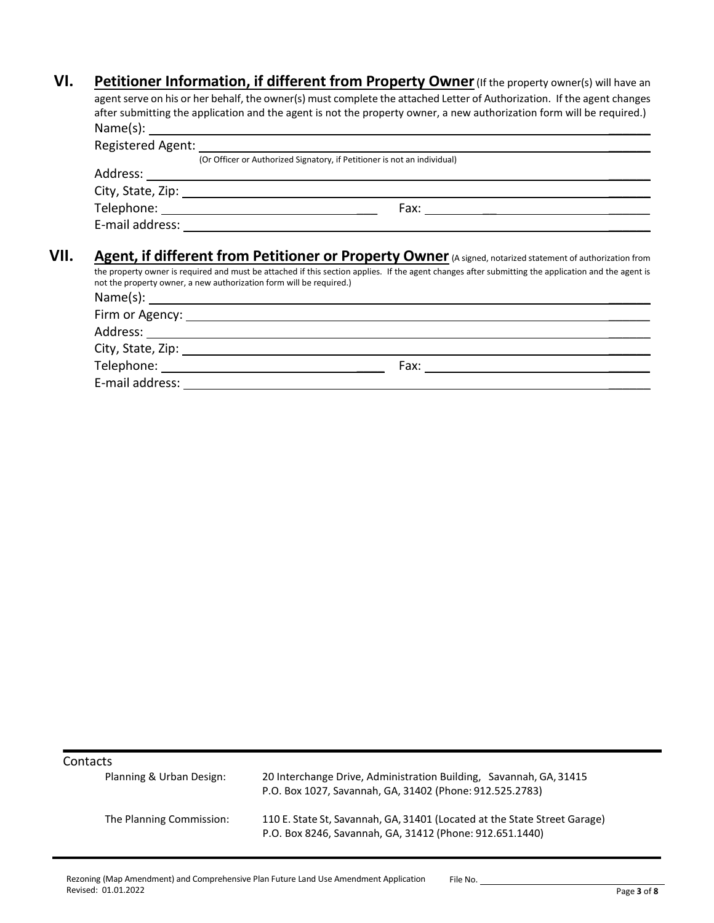**VI.** Petitioner Information, if different from Property Owner (If the property owner(s) will have an agent serve on his or her behalf, the owner(s) must complete the attached Letter of Authorization. If the agent changes after submitting the application and the agent is not the property owner, a new authorization form will be required.) Name(s): \_\_\_\_\_\_

| (Or Officer or Authorized Signatory, if Petitioner is not an individual)                                                                                                                                                   |
|----------------------------------------------------------------------------------------------------------------------------------------------------------------------------------------------------------------------------|
|                                                                                                                                                                                                                            |
|                                                                                                                                                                                                                            |
|                                                                                                                                                                                                                            |
| E-mail address: [198]                                                                                                                                                                                                      |
| Agent, if different from Petitioner or Property Owner (A signed, notarized statement of authorization from                                                                                                                 |
| the property owner is required and must be attached if this section applies. If the agent changes after submitting the application and the agent is<br>not the property owner, a new authorization form will be required.) |
|                                                                                                                                                                                                                            |
|                                                                                                                                                                                                                            |
| Firm or Agency: _____________                                                                                                                                                                                              |

| $\frac{1}{2}$ and $\frac{1}{2}$ and $\frac{1}{2}$ and $\frac{1}{2}$ and $\frac{1}{2}$ and $\frac{1}{2}$ and $\frac{1}{2}$ and $\frac{1}{2}$ and $\frac{1}{2}$ and $\frac{1}{2}$ and $\frac{1}{2}$ and $\frac{1}{2}$ and $\frac{1}{2}$ and $\frac{1}{2}$ and $\frac{1}{2}$ and $\frac{1}{2}$ a |      |  |
|-----------------------------------------------------------------------------------------------------------------------------------------------------------------------------------------------------------------------------------------------------------------------------------------------|------|--|
| Address:                                                                                                                                                                                                                                                                                      |      |  |
| City, State, Zip:                                                                                                                                                                                                                                                                             |      |  |
| Telephone:                                                                                                                                                                                                                                                                                    | Fax: |  |
| E-mail address:                                                                                                                                                                                                                                                                               |      |  |

**Contacts** 

| Planning & Urban Design: | 20 Interchange Drive, Administration Building, Savannah, GA, 31415<br>P.O. Box 1027, Savannah, GA, 31402 (Phone: 912.525.2783)        |
|--------------------------|---------------------------------------------------------------------------------------------------------------------------------------|
| The Planning Commission: | 110 E. State St, Savannah, GA, 31401 (Located at the State Street Garage)<br>P.O. Box 8246, Savannah, GA, 31412 (Phone: 912.651.1440) |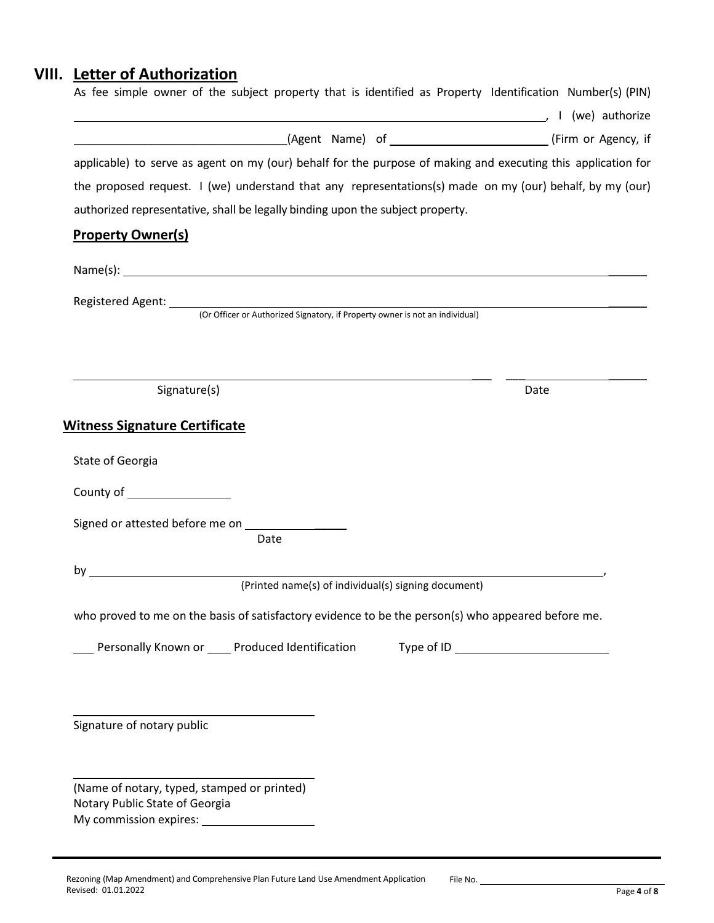# **VIII. Letter of Authorization**

| As fee simple owner of the subject property that is identified as Property Identification Number(s) (PIN)     |      |
|---------------------------------------------------------------------------------------------------------------|------|
|                                                                                                               |      |
| applicable) to serve as agent on my (our) behalf for the purpose of making and executing this application for |      |
| the proposed request. I (we) understand that any representations(s) made on my (our) behalf, by my (our)      |      |
| authorized representative, shall be legally binding upon the subject property.                                |      |
| <b>Property Owner(s)</b>                                                                                      |      |
|                                                                                                               |      |
|                                                                                                               |      |
|                                                                                                               |      |
|                                                                                                               |      |
|                                                                                                               |      |
|                                                                                                               |      |
| Signature(s)                                                                                                  | Date |
| <b>Witness Signature Certificate</b>                                                                          |      |
|                                                                                                               |      |
| State of Georgia                                                                                              |      |
|                                                                                                               |      |
|                                                                                                               |      |
| Date                                                                                                          |      |
| $by_$                                                                                                         |      |
| (Printed name(s) of individual(s) signing document)                                                           |      |
| who proved to me on the basis of satisfactory evidence to be the person(s) who appeared before me.            |      |
| Personally Known or _____ Produced Identification                                                             |      |
|                                                                                                               |      |
|                                                                                                               |      |
|                                                                                                               |      |
| Signature of notary public                                                                                    |      |
|                                                                                                               |      |
| (Name of notary, typed, stamped or printed)                                                                   |      |
| Notary Public State of Georgia                                                                                |      |
|                                                                                                               |      |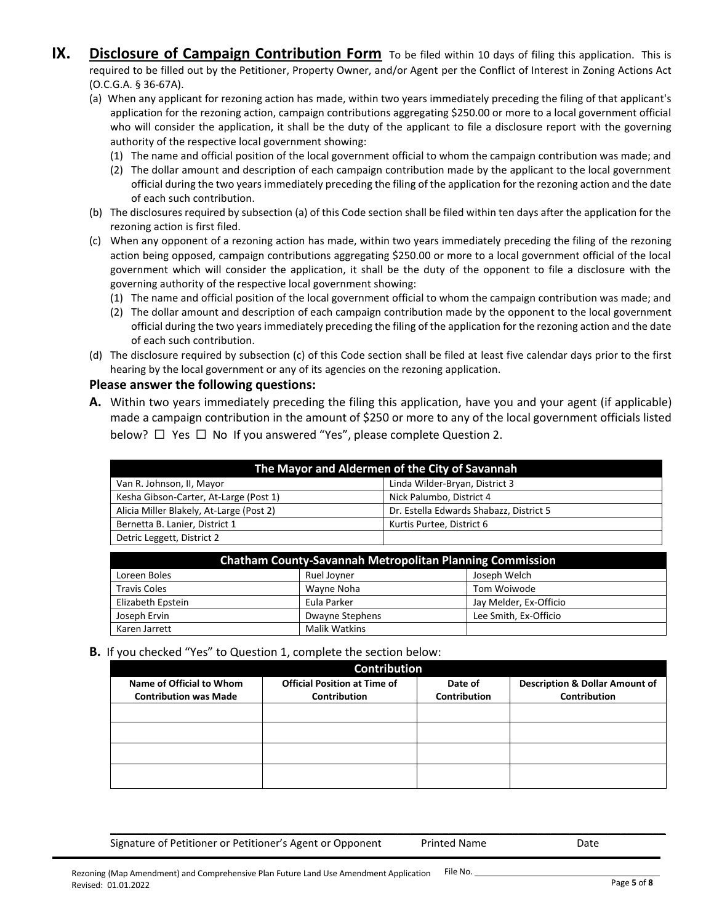- **IX.** Disclosure of Campaign Contribution Form To be filed within 10 days of filing this application. This is required to be filled out by the Petitioner, Property Owner, and/or Agent per the Conflict of Interest in Zoning Actions Act (O.C.G.A. § 36-67A).
	- (a) When any applicant for rezoning action has made, within two years immediately preceding the filing of that applicant's application for the rezoning action, campaign contributions aggregating \$250.00 or more to a local government official who will consider the application, it shall be the duty of the applicant to file a disclosure report with the governing authority of the respective local government showing:
		- (1) The name and official position of the local government official to whom the campaign contribution was made; and
		- (2) The dollar amount and description of each campaign contribution made by the applicant to the local government official during the two years immediately preceding the filing of the application for the rezoning action and the date of each such contribution.
	- (b) The disclosures required by subsection (a) of this Code section shall be filed within ten days after the application for the rezoning action is first filed.
	- (c) When any opponent of a rezoning action has made, within two years immediately preceding the filing of the rezoning action being opposed, campaign contributions aggregating \$250.00 or more to a local government official of the local government which will consider the application, it shall be the duty of the opponent to file a disclosure with the governing authority of the respective local government showing:
		- (1) The name and official position of the local government official to whom the campaign contribution was made; and
		- (2) The dollar amount and description of each campaign contribution made by the opponent to the local government official during the two years immediately preceding the filing of the application for the rezoning action and the date of each such contribution.
	- (d) The disclosure required by subsection (c) of this Code section shall be filed at least five calendar days prior to the first hearing by the local government or any of its agencies on the rezoning application.

#### **Please answer the following questions:**

**A.** Within two years immediately preceding the filing this application, have you and your agent (if applicable) made a campaign contribution in the amount of \$250 or more to any of the local government officials listed below? □ Yes □ No If you answered "Yes", please complete Question 2.

| The Mayor and Aldermen of the City of Savannah              |                                         |  |  |
|-------------------------------------------------------------|-----------------------------------------|--|--|
| Linda Wilder-Bryan, District 3<br>Van R. Johnson, II, Mayor |                                         |  |  |
| Kesha Gibson-Carter, At-Large (Post 1)                      | Nick Palumbo, District 4                |  |  |
| Alicia Miller Blakely, At-Large (Post 2)                    | Dr. Estella Edwards Shabazz, District 5 |  |  |
| Bernetta B. Lanier, District 1                              | Kurtis Purtee, District 6               |  |  |
| Detric Leggett, District 2                                  |                                         |  |  |

| <b>Chatham County-Savannah Metropolitan Planning Commission</b> |                      |                        |  |
|-----------------------------------------------------------------|----------------------|------------------------|--|
| Loreen Boles                                                    | Ruel Joyner          | Joseph Welch           |  |
| <b>Travis Coles</b>                                             | Wavne Noha           | Tom Woiwode            |  |
| Elizabeth Epstein                                               | Eula Parker          | Jay Melder, Ex-Officio |  |
| Joseph Ervin                                                    | Dwayne Stephens      | Lee Smith, Ex-Officio  |  |
| Karen Jarrett                                                   | <b>Malik Watkins</b> |                        |  |

#### **B.** If you checked "Yes" to Question 1, complete the section below:

| <b>Contribution</b>                                      |                                                            |                                |                                                                  |
|----------------------------------------------------------|------------------------------------------------------------|--------------------------------|------------------------------------------------------------------|
| Name of Official to Whom<br><b>Contribution was Made</b> | <b>Official Position at Time of</b><br><b>Contribution</b> | Date of<br><b>Contribution</b> | <b>Description &amp; Dollar Amount of</b><br><b>Contribution</b> |
|                                                          |                                                            |                                |                                                                  |
|                                                          |                                                            |                                |                                                                  |
|                                                          |                                                            |                                |                                                                  |
|                                                          |                                                            |                                |                                                                  |

\_\_\_\_\_\_\_\_\_\_\_\_\_\_\_\_\_\_\_\_\_\_\_\_\_\_\_\_\_\_\_\_\_\_\_\_\_\_\_\_\_\_\_\_\_\_\_\_\_\_\_\_\_\_\_\_\_\_\_\_\_\_\_\_\_\_\_\_\_\_\_\_\_\_\_\_\_\_\_\_\_\_\_\_\_\_\_

Signature of Petitioner or Petitioner's Agent or Opponent Printed Name Date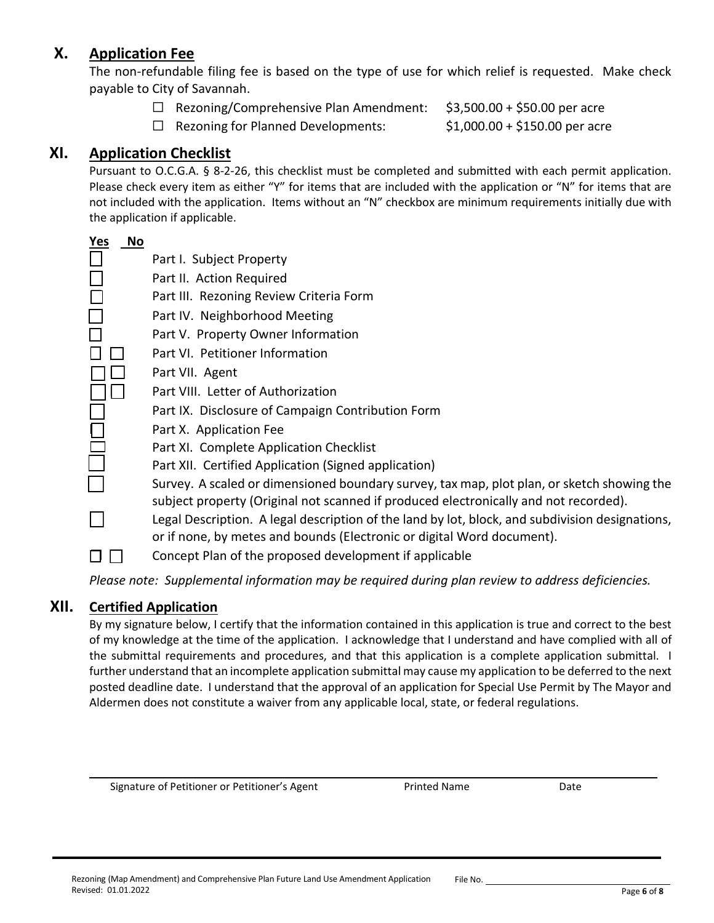## **X. Application Fee**

The non-refundable filing fee is based on the type of use for which relief is requested. Make check payable to City of Savannah.

- ☐ Rezoning/Comprehensive Plan Amendment: \$3,500.00 + \$50.00 per acre
	- ☐ Rezoning for Planned Developments: \$1,000.00 + \$150.00 per acre

## **XI. Application Checklist**

Pursuant to O.C.G.A. § 8-2-26, this checklist must be completed and submitted with each permit application. Please check every item as either "Y" for items that are included with the application or "N" for items that are not included with the application. Items without an "N" checkbox are minimum requirements initially due with the application if applicable.

| Yes<br>No |                                                                                                                                                                                    |
|-----------|------------------------------------------------------------------------------------------------------------------------------------------------------------------------------------|
|           | Part I. Subject Property                                                                                                                                                           |
|           | Part II. Action Required                                                                                                                                                           |
|           | Part III. Rezoning Review Criteria Form                                                                                                                                            |
|           | Part IV. Neighborhood Meeting                                                                                                                                                      |
|           | Part V. Property Owner Information                                                                                                                                                 |
|           | Part VI. Petitioner Information                                                                                                                                                    |
|           | Part VII. Agent                                                                                                                                                                    |
|           | Part VIII. Letter of Authorization                                                                                                                                                 |
|           | Part IX. Disclosure of Campaign Contribution Form                                                                                                                                  |
|           | Part X. Application Fee                                                                                                                                                            |
|           | Part XI. Complete Application Checklist                                                                                                                                            |
|           | Part XII. Certified Application (Signed application)                                                                                                                               |
|           | Survey. A scaled or dimensioned boundary survey, tax map, plot plan, or sketch showing the<br>subject property (Original not scanned if produced electronically and not recorded). |
|           | Legal Description. A legal description of the land by lot, block, and subdivision designations,<br>or if none, by metes and bounds (Electronic or digital Word document).          |
|           | Concept Plan of the proposed development if applicable                                                                                                                             |
|           |                                                                                                                                                                                    |

*Please note: Supplemental information may be required during plan review to address deficiencies.*

### **XII. Certified Application**

By my signature below, I certify that the information contained in this application is true and correct to the best of my knowledge at the time of the application. I acknowledge that I understand and have complied with all of the submittal requirements and procedures, and that this application is a complete application submittal. I further understand that an incomplete application submittal may cause my application to be deferred to the next posted deadline date. I understand that the approval of an application for Special Use Permit by The Mayor and Aldermen does not constitute a waiver from any applicable local, state, or federal regulations.

\_\_\_\_\_\_\_\_\_\_\_\_\_\_\_\_\_\_\_\_\_\_\_\_\_\_\_\_\_\_\_\_\_\_\_\_\_\_\_\_\_\_\_\_\_\_\_\_\_\_\_\_\_\_\_\_\_\_\_\_\_\_\_\_\_\_\_\_\_\_\_\_\_\_\_\_\_\_\_\_\_\_\_\_\_\_\_\_\_

Signature of Petitioner or Petitioner's Agent Printed Name Printed Name Date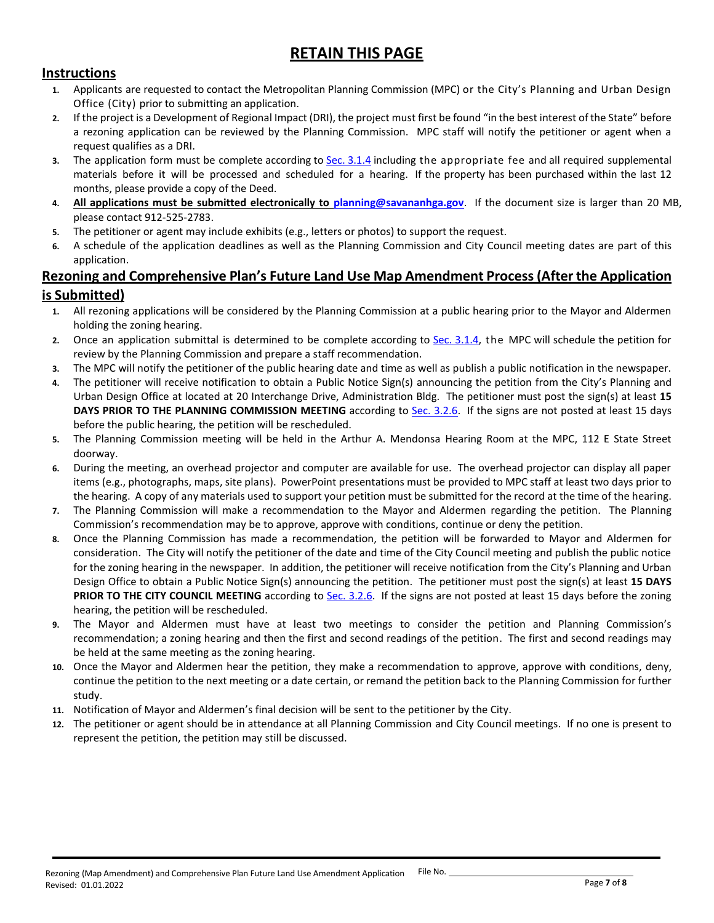## **RETAIN THIS PAGE**

### **Instructions**

- **1.** Applicants are requested to contact the Metropolitan Planning Commission (MPC) or the City's Planning and Urban Design Office (City) prior to submitting an application.
- **2.** If the project is a Development of Regional Impact (DRI), the project must first be found "in the best interest of the State" before a rezoning application can be reviewed by the Planning Commission. MPC staff will notify the petitioner or agent when a request qualifies as a DRI.
- **3.** The application form must be complete according to [Sec. 3.1.4](http://online.encodeplus.com/regs/savannah-ga/doc-viewer.aspx#secid-5100) including the appropriate fee and all required supplemental materials before it will be processed and scheduled for a hearing. If the property has been purchased within the last 12 months, please provide a copy of the Deed.
- **4. All applications must be submitted electronically to [planning@savananhga.gov](mailto:planning@savananhga.gov)**. If the document size is larger than 20 MB, please contact 912-525-2783.
- **5.** The petitioner or agent may include exhibits (e.g., letters or photos) to support the request.
- **6.** A schedule of the application deadlines as well as the Planning Commission and City Council meeting dates are part of this application.

### **Rezoning and Comprehensive Plan's Future Land Use Map Amendment Process(After the Application is Submitted)**

- **1.** All rezoning applications will be considered by the Planning Commission at a public hearing prior to the Mayor and Aldermen holding the zoning hearing.
- **2.** Once an application submittal is determined to be complete according to [Sec. 3.1.4,](http://online.encodeplus.com/regs/savannah-ga/doc-viewer.aspx#secid-5100) the MPC will schedule the petition for review by the Planning Commission and prepare a staff recommendation.
- **3.** The MPC will notify the petitioner of the public hearing date and time as well as publish a public notification in the newspaper.
- **4.** The petitioner will receive notification to obtain a Public Notice Sign(s) announcing the petition from the City's Planning and Urban Design Office at located at 20 Interchange Drive, Administration Bldg. The petitioner must post the sign(s) at least **15 DAYS PRIOR TO THE PLANNING COMMISSION MEETING** according to [Sec. 3.2.6.](http://online.encodeplus.com/regs/savannah-ga/doc-viewer.aspx#secid-5108) If the signs are not posted at least 15 days before the public hearing, the petition will be rescheduled.
- **5.** The Planning Commission meeting will be held in the Arthur A. Mendonsa Hearing Room at the MPC, 112 E State Street doorway.
- **6.** During the meeting, an overhead projector and computer are available for use. The overhead projector can display all paper items (e.g., photographs, maps, site plans). PowerPoint presentations must be provided to MPC staff at least two days prior to the hearing. A copy of any materials used to support your petition must be submitted for the record at the time of the hearing.
- **7.** The Planning Commission will make a recommendation to the Mayor and Aldermen regarding the petition. The Planning Commission's recommendation may be to approve, approve with conditions, continue or deny the petition.
- **8.** Once the Planning Commission has made a recommendation, the petition will be forwarded to Mayor and Aldermen for consideration. The City will notify the petitioner of the date and time of the City Council meeting and publish the public notice for the zoning hearing in the newspaper. In addition, the petitioner will receive notification from the City's Planning and Urban Design Office to obtain a Public Notice Sign(s) announcing the petition. The petitioner must post the sign(s) at least **15 DAYS**  PRIOR TO THE CITY COUNCIL MEETING according to [Sec. 3.2.6.](http://online.encodeplus.com/regs/savannah-ga/doc-viewer.aspx#secid-5108) If the signs are not posted at least 15 days before the zoning hearing, the petition will be rescheduled.
- **9.** The Mayor and Aldermen must have at least two meetings to consider the petition and Planning Commission's recommendation; a zoning hearing and then the first and second readings of the petition. The first and second readings may be held at the same meeting as the zoning hearing.
- **10.** Once the Mayor and Aldermen hear the petition, they make a recommendation to approve, approve with conditions, deny, continue the petition to the next meeting or a date certain, or remand the petition back to the Planning Commission for further study.
- **11.** Notification of Mayor and Aldermen's final decision will be sent to the petitioner by the City.
- **12.** The petitioner or agent should be in attendance at all Planning Commission and City Council meetings. If no one is present to represent the petition, the petition may still be discussed.